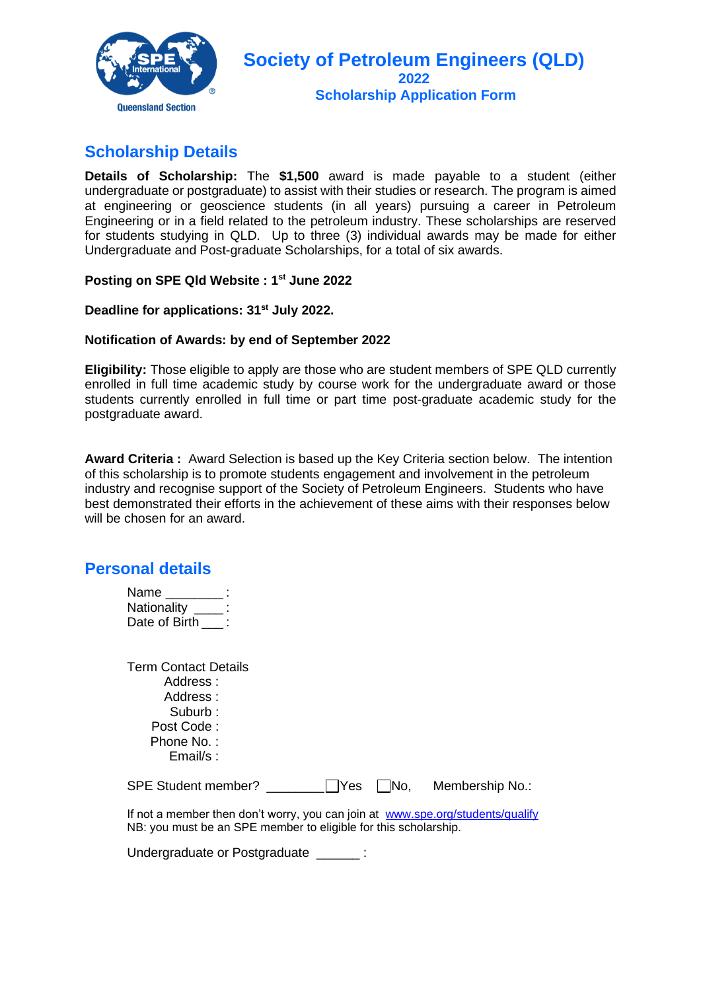

# **Scholarship Details**

**Details of Scholarship:** The **\$1,500** award is made payable to a student (either undergraduate or postgraduate) to assist with their studies or research. The program is aimed at engineering or geoscience students (in all years) pursuing a career in Petroleum Engineering or in a field related to the petroleum industry. These scholarships are reserved for students studying in QLD. Up to three (3) individual awards may be made for either Undergraduate and Post-graduate Scholarships, for a total of six awards.

#### **Posting on SPE Qld Website : 1st June 2022**

#### **Deadline for applications: 31 st July 2022.**

#### **Notification of Awards: by end of September 2022**

**Eligibility:** Those eligible to apply are those who are student members of SPE QLD currently enrolled in full time academic study by course work for the undergraduate award or those students currently enrolled in full time or part time post-graduate academic study for the postgraduate award.

**Award Criteria :** Award Selection is based up the Key Criteria section below. The intention of this scholarship is to promote students engagement and involvement in the petroleum industry and recognise support of the Society of Petroleum Engineers. Students who have best demonstrated their efforts in the achievement of these aims with their responses below will be chosen for an award.

### **Personal details**

| Name          |  |
|---------------|--|
| Nationality   |  |
| Date of Birth |  |

| <b>Term Contact Details</b><br>Address :<br>Address:<br>Suburb:<br>Post Code:<br>Phone No.:<br>Email/s: |            |             |                 |
|---------------------------------------------------------------------------------------------------------|------------|-------------|-----------------|
| SPE Student member?                                                                                     | $\Box$ Yes | $\vert$ No. | Membership No.: |

If not a member then don't worry, you can join at [www.spe.org/students/qualify](http://www.spe.org/students/qualify) NB: you must be an SPE member to eligible for this scholarship.

Undergraduate or Postgraduate \_\_\_\_\_\_ :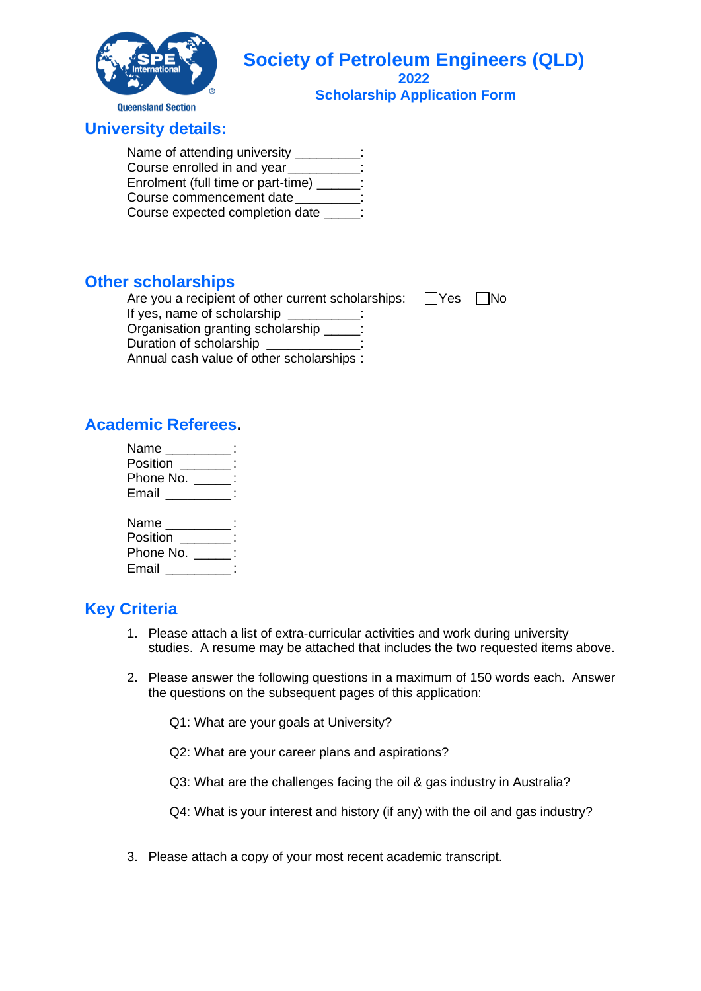

## **University details:**

Name of attending university \_\_\_\_\_\_\_\_\_: Course enrolled in and year Enrolment (full time or part-time) \_\_\_\_\_\_: Course commencement date \_\_\_\_\_\_\_\_\_: Course expected completion date  $\qquad$  :

### **Other scholarships**

Are you a recipient of other current scholarships:  $\Box$ Yes  $\Box$ No If yes, name of scholarship Organisation granting scholarship \_\_\_\_\_: Duration of scholarship

Annual cash value of other scholarships :

## **Academic Referees.**

| Name _______                  |  |
|-------------------------------|--|
| Position                      |  |
| Phone No.<br>and the state of |  |
| Email                         |  |
|                               |  |
| Name _______                  |  |
| Position                      |  |
| Phone No.                     |  |
| Email                         |  |
|                               |  |

# **Key Criteria**

- 1. Please attach a list of extra-curricular activities and work during university studies. A resume may be attached that includes the two requested items above.
- 2. Please answer the following questions in a maximum of 150 words each. Answer the questions on the subsequent pages of this application:
	- Q1: What are your goals at University?
	- Q2: What are your career plans and aspirations?
	- Q3: What are the challenges facing the oil & gas industry in Australia?

Q4: What is your interest and history (if any) with the oil and gas industry?

3. Please attach a copy of your most recent academic transcript.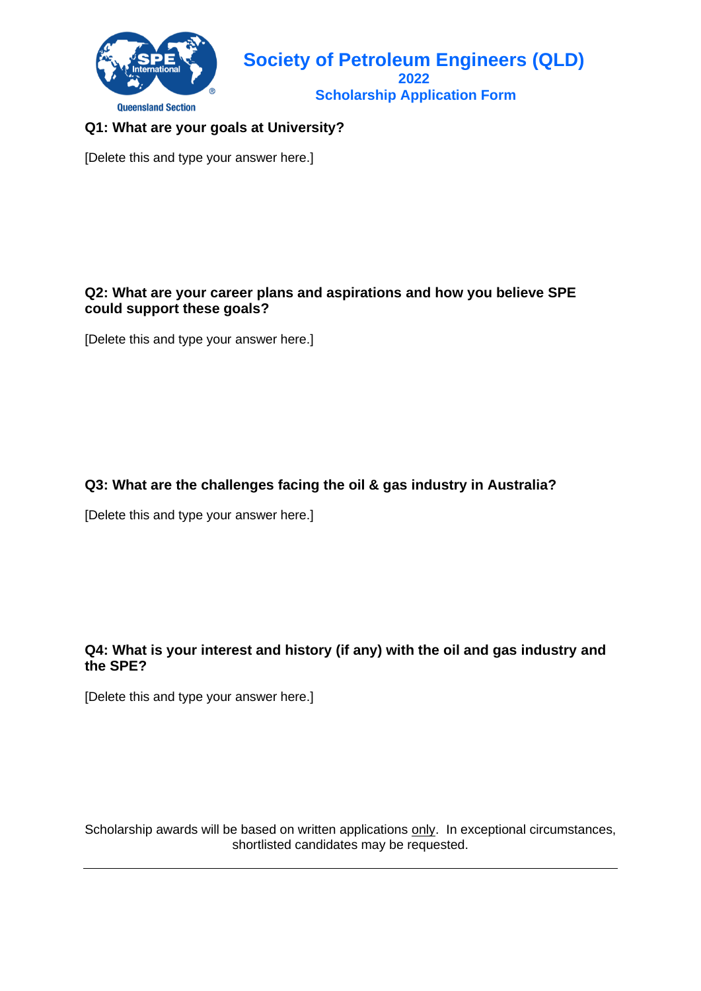

### **Q1: What are your goals at University?**

[Delete this and type your answer here.]

#### **Q2: What are your career plans and aspirations and how you believe SPE could support these goals?**

[Delete this and type your answer here.]

#### **Q3: What are the challenges facing the oil & gas industry in Australia?**

[Delete this and type your answer here.]

#### **Q4: What is your interest and history (if any) with the oil and gas industry and the SPE?**

[Delete this and type your answer here.]

Scholarship awards will be based on written applications only. In exceptional circumstances, shortlisted candidates may be requested.